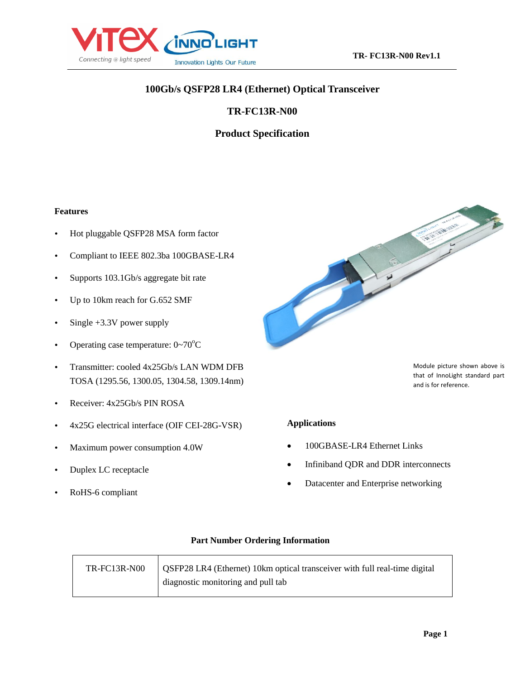

# **100Gb/s QSFP28 LR4 (Ethernet) Optical Transceiver**

# **TR-FC13R-N00**

# **Product Specification**

#### **Features**

- Hot pluggable QSFP28 MSA form factor
- Compliant to IEEE 802.3ba 100GBASE-LR4
- Supports 103.1Gb/s aggregate bit rate
- Up to 10km reach for G.652 SMF
- $\cdot$  Single +3.3V power supply
- Operating case temperature:  $0 \sim 70^{\circ}$ C
- Transmitter: cooled 4x25Gb/s LAN WDM DFB TOSA (1295.56, 1300.05, 1304.58, 1309.14nm)
- Receiver: 4x25Gb/s PIN ROSA
- 4x25G electrical interface (OIF CEI-28G-VSR)
- Maximum power consumption 4.0W
- Duplex LC receptacle
- RoHS-6 compliant



Module picture shown above is that of InnoLight standard part and is for reference.

#### **Applications**

- 100GBASE-LR4 Ethernet Links
- Infiniband QDR and DDR interconnects
- Datacenter and Enterprise networking

#### **Part Number Ordering Information**

| TR-FC13R-N00 | <b>OSFP28 LR4 (Ethernet) 10km optical transceiver with full real-time digital</b> |
|--------------|-----------------------------------------------------------------------------------|
|              | diagnostic monitoring and pull tab                                                |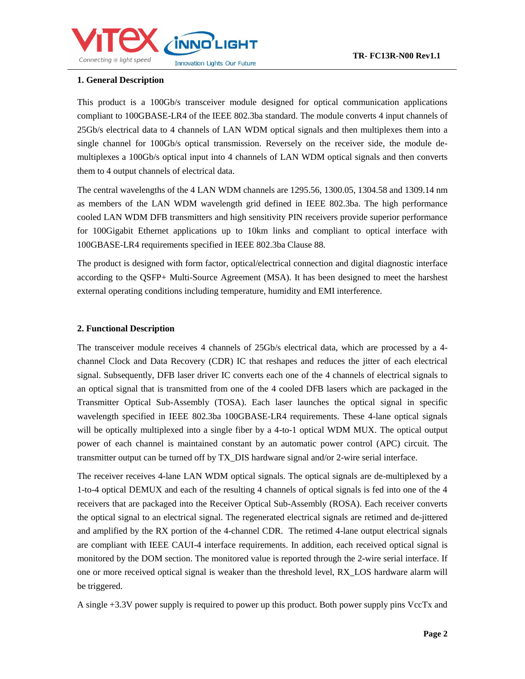

### **1. General Description**

This product is a 100Gb/s transceiver module designed for optical communication applications compliant to 100GBASE-LR4 of the IEEE 802.3ba standard. The module converts 4 input channels of 25Gb/s electrical data to 4 channels of LAN WDM optical signals and then multiplexes them into a single channel for 100Gb/s optical transmission. Reversely on the receiver side, the module demultiplexes a 100Gb/s optical input into 4 channels of LAN WDM optical signals and then converts them to 4 output channels of electrical data.

The central wavelengths of the 4 LAN WDM channels are 1295.56, 1300.05, 1304.58 and 1309.14 nm as members of the LAN WDM wavelength grid defined in IEEE 802.3ba. The high performance cooled LAN WDM DFB transmitters and high sensitivity PIN receivers provide superior performance for 100Gigabit Ethernet applications up to 10km links and compliant to optical interface with 100GBASE-LR4 requirements specified in IEEE 802.3ba Clause 88.

The product is designed with form factor, optical/electrical connection and digital diagnostic interface according to the QSFP+ Multi-Source Agreement (MSA). It has been designed to meet the harshest external operating conditions including temperature, humidity and EMI interference.

### **2. Functional Description**

The transceiver module receives 4 channels of 25Gb/s electrical data, which are processed by a 4 channel Clock and Data Recovery (CDR) IC that reshapes and reduces the jitter of each electrical signal. Subsequently, DFB laser driver IC converts each one of the 4 channels of electrical signals to an optical signal that is transmitted from one of the 4 cooled DFB lasers which are packaged in the Transmitter Optical Sub-Assembly (TOSA). Each laser launches the optical signal in specific wavelength specified in IEEE 802.3ba 100GBASE-LR4 requirements. These 4-lane optical signals will be optically multiplexed into a single fiber by a 4-to-1 optical WDM MUX. The optical output power of each channel is maintained constant by an automatic power control (APC) circuit. The transmitter output can be turned off by TX\_DIS hardware signal and/or 2-wire serial interface.

The receiver receives 4-lane LAN WDM optical signals. The optical signals are de-multiplexed by a 1-to-4 optical DEMUX and each of the resulting 4 channels of optical signals is fed into one of the 4 receivers that are packaged into the Receiver Optical Sub-Assembly (ROSA). Each receiver converts the optical signal to an electrical signal. The regenerated electrical signals are retimed and de-jittered and amplified by the RX portion of the 4-channel CDR. The retimed 4-lane output electrical signals are compliant with IEEE CAUI-4 interface requirements. In addition, each received optical signal is monitored by the DOM section. The monitored value is reported through the 2-wire serial interface. If one or more received optical signal is weaker than the threshold level, RX\_LOS hardware alarm will be triggered.

A single +3.3V power supply is required to power up this product. Both power supply pins VccTx and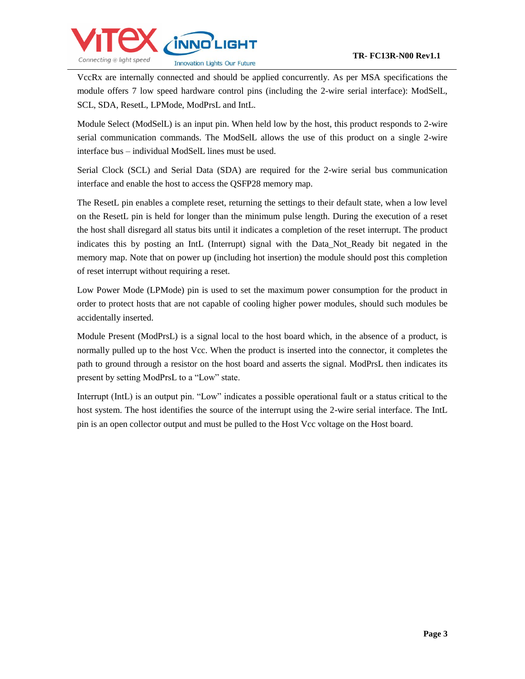

VccRx are internally connected and should be applied concurrently. As per MSA specifications the module offers 7 low speed hardware control pins (including the 2-wire serial interface): ModSelL, SCL, SDA, ResetL, LPMode, ModPrsL and IntL.

Module Select (ModSelL) is an input pin. When held low by the host, this product responds to 2-wire serial communication commands. The ModSelL allows the use of this product on a single 2-wire interface bus – individual ModSelL lines must be used.

Serial Clock (SCL) and Serial Data (SDA) are required for the 2-wire serial bus communication interface and enable the host to access the QSFP28 memory map.

The ResetL pin enables a complete reset, returning the settings to their default state, when a low level on the ResetL pin is held for longer than the minimum pulse length. During the execution of a reset the host shall disregard all status bits until it indicates a completion of the reset interrupt. The product indicates this by posting an IntL (Interrupt) signal with the Data\_Not\_Ready bit negated in the memory map. Note that on power up (including hot insertion) the module should post this completion of reset interrupt without requiring a reset.

Low Power Mode (LPMode) pin is used to set the maximum power consumption for the product in order to protect hosts that are not capable of cooling higher power modules, should such modules be accidentally inserted.

Module Present (ModPrsL) is a signal local to the host board which, in the absence of a product, is normally pulled up to the host Vcc. When the product is inserted into the connector, it completes the path to ground through a resistor on the host board and asserts the signal. ModPrsL then indicates its present by setting ModPrsL to a "Low" state.

Interrupt (IntL) is an output pin. "Low" indicates a possible operational fault or a status critical to the host system. The host identifies the source of the interrupt using the 2-wire serial interface. The IntL pin is an open collector output and must be pulled to the Host Vcc voltage on the Host board.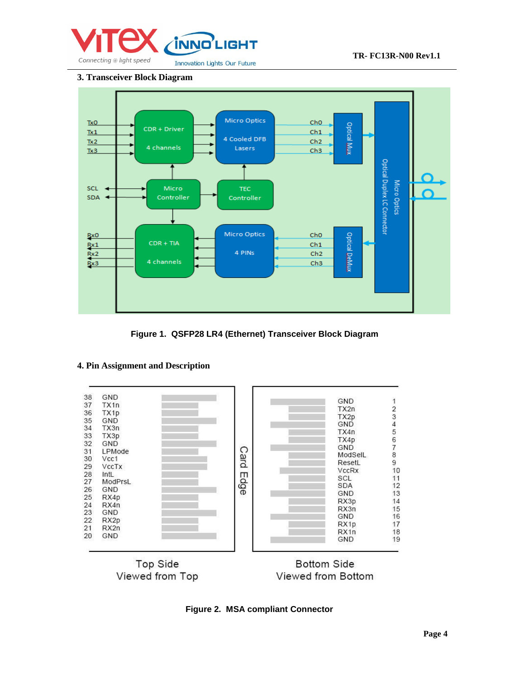

### **3. Transceiver Block Diagram**



**Figure 1. QSFP28 LR4 (Ethernet) Transceiver Block Diagram**



# **4. Pin Assignment and Description**



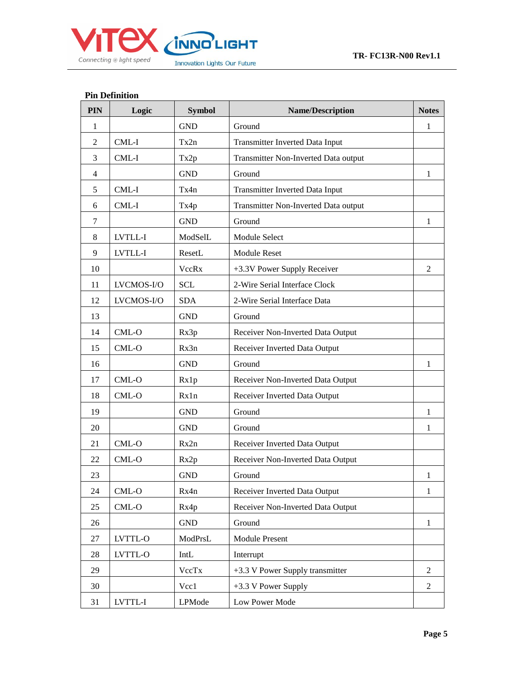

# **Pin Definition**

| PIN            | Logic      | <b>Symbol</b>        | <b>Name/Description</b>              |                |  |
|----------------|------------|----------------------|--------------------------------------|----------------|--|
| $\mathbf{1}$   |            | <b>GND</b>           | Ground                               | 1              |  |
| $\overline{2}$ | CML-I      | Tx2n                 | Transmitter Inverted Data Input      |                |  |
| 3              | CML-I      | Tx2p                 | Transmitter Non-Inverted Data output |                |  |
| 4              |            | <b>GND</b>           | Ground                               | 1              |  |
| 5              | CML-I      | Tx4n                 | Transmitter Inverted Data Input      |                |  |
| 6              | CML-I      | Tx4p                 | Transmitter Non-Inverted Data output |                |  |
| 7              |            | <b>GND</b>           | Ground                               | $\mathbf{1}$   |  |
| 8              | LVTLL-I    | ModSelL              | Module Select                        |                |  |
| 9              | LVTLL-I    | ResetL               | <b>Module Reset</b>                  |                |  |
| 10             |            | <b>VccRx</b>         | +3.3V Power Supply Receiver          | 2              |  |
| 11             | LVCMOS-I/O | <b>SCL</b>           | 2-Wire Serial Interface Clock        |                |  |
| 12             | LVCMOS-I/O | <b>SDA</b>           | 2-Wire Serial Interface Data         |                |  |
| 13             |            | <b>GND</b>           | Ground                               |                |  |
| 14             | CML-O      | Rx3p                 | Receiver Non-Inverted Data Output    |                |  |
| 15             | $CML-O$    | Rx3n                 | Receiver Inverted Data Output        |                |  |
| 16             |            | <b>GND</b>           | Ground                               | 1              |  |
| 17             | $CML-O$    | Rx1p                 | Receiver Non-Inverted Data Output    |                |  |
| 18             | CML-O      | Rx1n                 | Receiver Inverted Data Output        |                |  |
| 19             |            | <b>GND</b>           | Ground                               | $\mathbf{1}$   |  |
| 20             |            | <b>GND</b>           | Ground                               | 1              |  |
| 21             | CML-O      | Rx2n                 | Receiver Inverted Data Output        |                |  |
| 22             | $CML-O$    | Rx2p                 | Receiver Non-Inverted Data Output    |                |  |
| 23             |            | <b>GND</b>           | Ground                               | 1              |  |
| 24             | CML-O      | Rx4n                 | Receiver Inverted Data Output        | 1              |  |
| 25             | $CML-O$    | Rx4p                 | Receiver Non-Inverted Data Output    |                |  |
| 26             |            | $\operatorname{GND}$ | Ground                               | $\mathbf{1}$   |  |
| 27             | LVTTL-O    | ModPrsL              | <b>Module Present</b>                |                |  |
| 28             | LVTTL-O    | IntL                 | Interrupt                            |                |  |
| 29             |            | VccTx                | +3.3 V Power Supply transmitter      | 2              |  |
| 30             |            | Vcc1                 | +3.3 V Power Supply                  | $\overline{c}$ |  |
| 31             | LVTTL-I    | LPMode               | Low Power Mode                       |                |  |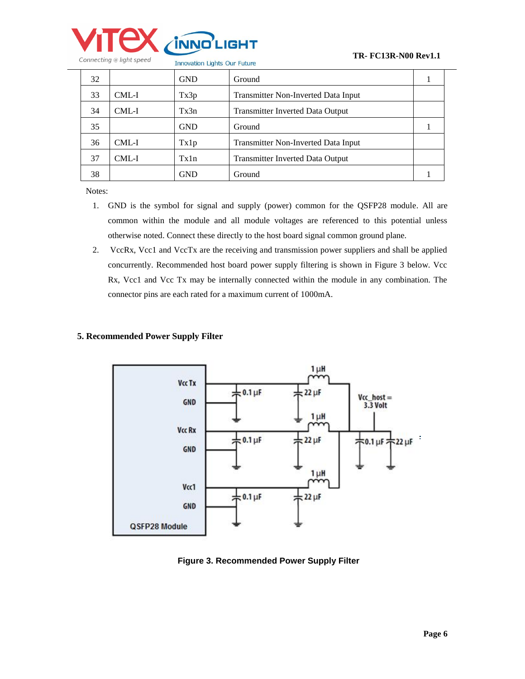

| 32 |         | <b>GND</b> | Ground                                  |  |
|----|---------|------------|-----------------------------------------|--|
| 33 | CML-I   | Tx3p       | Transmitter Non-Inverted Data Input     |  |
| 34 | CML-I   | Tx3n       | <b>Transmitter Inverted Data Output</b> |  |
| 35 |         | <b>GND</b> | Ground                                  |  |
| 36 | CML-I   | Tx1p       | Transmitter Non-Inverted Data Input     |  |
| 37 | $CML-I$ | Tx1n       | <b>Transmitter Inverted Data Output</b> |  |
| 38 |         | GND        | Ground                                  |  |

Notes:

- 1. GND is the symbol for signal and supply (power) common for the QSFP28 module. All are common within the module and all module voltages are referenced to this potential unless otherwise noted. Connect these directly to the host board signal common ground plane.
- 2. VccRx, Vcc1 and VccTx are the receiving and transmission power suppliers and shall be applied concurrently. Recommended host board power supply filtering is shown in Figure 3 below. Vcc Rx, Vcc1 and Vcc Tx may be internally connected within the module in any combination. The connector pins are each rated for a maximum current of 1000mA.

#### **5. Recommended Power Supply Filter**



**Figure 3. Recommended Power Supply Filter**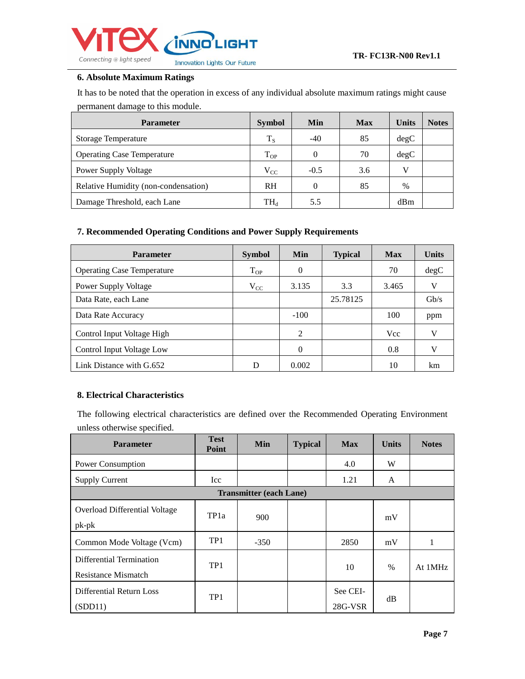

## **6. Absolute Maximum Ratings**

It has to be noted that the operation in excess of any individual absolute maximum ratings might cause permanent damage to this module.

| <b>Parameter</b>                     | <b>Symbol</b>            | <b>Min</b> | <b>Max</b> | <b>Units</b> | <b>Notes</b> |
|--------------------------------------|--------------------------|------------|------------|--------------|--------------|
| <b>Storage Temperature</b>           | $T_S$                    | $-40$      | 85         | degC         |              |
| <b>Operating Case Temperature</b>    | $T_{OP}$                 |            | 70         | degC         |              |
| <b>Power Supply Voltage</b>          | $V_{CC}$                 | $-0.5$     | 3.6        | v            |              |
| Relative Humidity (non-condensation) | <b>RH</b>                |            | 85         | $\%$         |              |
| Damage Threshold, each Lane          | $\mathrm{TH}_\mathrm{d}$ | 5.5        |            | dBm          |              |

### **7. Recommended Operating Conditions and Power Supply Requirements**

| <b>Parameter</b>                  | <b>Symbol</b> | Min      | <b>Typical</b> | <b>Max</b> | <b>Units</b> |
|-----------------------------------|---------------|----------|----------------|------------|--------------|
| <b>Operating Case Temperature</b> | $T_{OP}$      | $\theta$ |                | 70         | degC         |
| Power Supply Voltage              | $V_{CC}$      | 3.135    | 3.3            | 3.465      | V            |
| Data Rate, each Lane              |               |          | 25.78125       |            | $\rm{Gb/s}$  |
| Data Rate Accuracy                |               | $-100$   |                | 100        | ppm          |
| Control Input Voltage High        |               | 2        |                | <b>Vcc</b> | V            |
| Control Input Voltage Low         |               | $\Omega$ |                | 0.8        | $\mathbf{v}$ |
| Link Distance with G.652          |               | 0.002    |                | 10         | km           |

### **8. Electrical Characteristics**

The following electrical characteristics are defined over the Recommended Operating Environment unless otherwise specified.

| <b>Parameter</b>                                | <b>Test</b><br>Point | Min                            | <b>Typical</b> | <b>Max</b>          | <b>Units</b> | <b>Notes</b> |
|-------------------------------------------------|----------------------|--------------------------------|----------------|---------------------|--------------|--------------|
| Power Consumption                               |                      |                                |                | 4.0                 | W            |              |
| <b>Supply Current</b>                           | Icc                  |                                |                | 1.21                | A            |              |
|                                                 |                      | <b>Transmitter (each Lane)</b> |                |                     |              |              |
| Overload Differential Voltage<br>$pk-pk$        | TP <sub>1</sub> a    | 900                            |                |                     | mV           |              |
| Common Mode Voltage (Vcm)                       | TP <sub>1</sub>      | $-350$                         |                | 2850                | mV           |              |
| Differential Termination<br>Resistance Mismatch | TP <sub>1</sub>      |                                |                | 10                  | $\%$         | At 1MHz      |
| Differential Return Loss<br>(SDD11)             | TP1                  |                                |                | See CEI-<br>28G-VSR | dB           |              |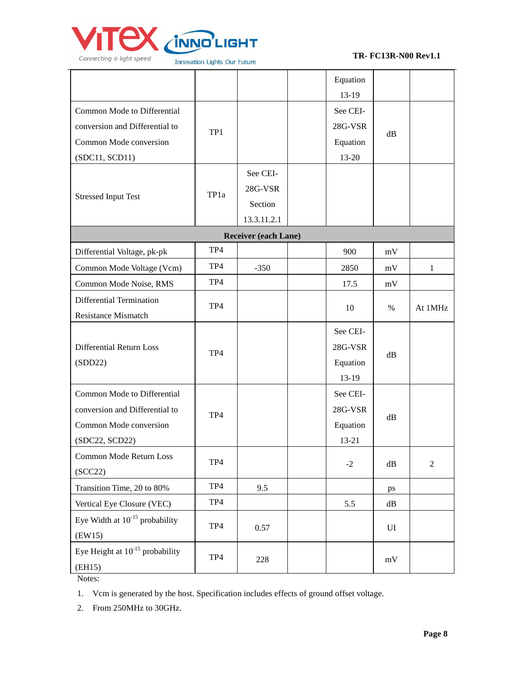

L,

#### **TR- FC13R-N00 Rev1.1**

|                                      |      |                             | Equation |               |              |
|--------------------------------------|------|-----------------------------|----------|---------------|--------------|
|                                      |      |                             | 13-19    |               |              |
| Common Mode to Differential          |      |                             | See CEI- |               |              |
| conversion and Differential to       | TP1  |                             | 28G-VSR  | dB            |              |
| Common Mode conversion               |      |                             | Equation |               |              |
| (SDC11, SCD11)                       |      |                             | 13-20    |               |              |
|                                      |      | See CEI-                    |          |               |              |
| <b>Stressed Input Test</b>           | TP1a | 28G-VSR                     |          |               |              |
|                                      |      | Section                     |          |               |              |
|                                      |      | 13.3.11.2.1                 |          |               |              |
|                                      |      | <b>Receiver (each Lane)</b> |          |               |              |
| Differential Voltage, pk-pk          | TP4  |                             | 900      | $\rm mV$      |              |
| Common Mode Voltage (Vcm)            | TP4  | $-350$                      | 2850     | mV            | $\mathbf{1}$ |
| Common Mode Noise, RMS               | TP4  |                             | 17.5     | mV            |              |
| Differential Termination             |      |                             |          |               |              |
| <b>Resistance Mismatch</b>           | TP4  |                             | 10       | $\%$          | At 1MHz      |
|                                      |      |                             | See CEI- |               |              |
| <b>Differential Return Loss</b>      |      |                             | 28G-VSR  |               |              |
| (SDD22)                              | TP4  |                             | Equation | dB            |              |
|                                      |      |                             | 13-19    |               |              |
| Common Mode to Differential          |      |                             | See CEI- |               |              |
| conversion and Differential to       |      |                             | 28G-VSR  |               |              |
| Common Mode conversion               | TP4  |                             | Equation | dB            |              |
| (SDC22, SCD22)                       |      |                             | 13-21    |               |              |
| Common Mode Return Loss              |      |                             |          |               |              |
| (SCC22)                              | TP4  |                             | $-2$     | $\mathrm{dB}$ | $\sqrt{2}$   |
| Transition Time, 20 to 80%           | TP4  | 9.5                         |          | ps            |              |
| Vertical Eye Closure (VEC)           | TP4  |                             | 5.5      | $\mathrm{dB}$ |              |
| Eye Width at $10^{-15}$ probability  |      |                             |          |               |              |
| (EW15)                               | TP4  | 0.57                        |          | UI            |              |
| Eye Height at $10^{-15}$ probability | TP4  |                             |          |               |              |
| (EH15)                               |      | 228                         |          | mV            |              |

Notes:

2. From 250MHz to 30GHz.

<sup>1.</sup> Vcm is generated by the host. Specification includes effects of ground offset voltage.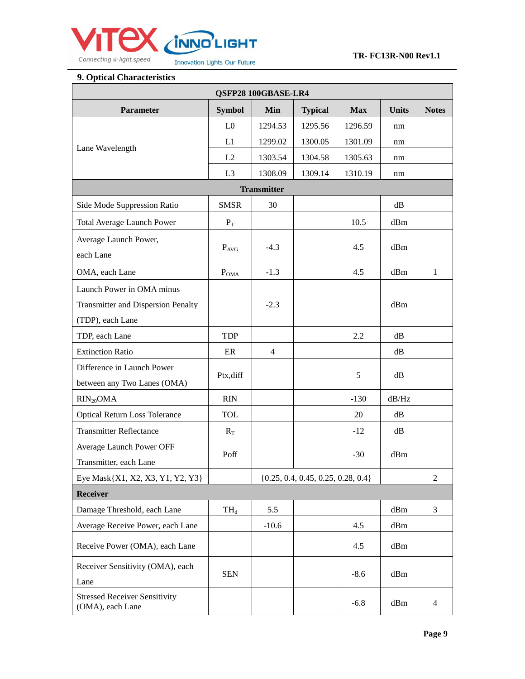

## **9. Optical Characteristics**

| QSFP28 100GBASE-LR4                                                    |                |                |                                        |            |              |                |  |
|------------------------------------------------------------------------|----------------|----------------|----------------------------------------|------------|--------------|----------------|--|
| <b>Parameter</b>                                                       | <b>Symbol</b>  | Min            | <b>Typical</b>                         | <b>Max</b> | <b>Units</b> | <b>Notes</b>   |  |
|                                                                        | L <sub>0</sub> | 1294.53        | 1295.56                                | 1296.59    | nm           |                |  |
| Lane Wavelength                                                        | L1             | 1299.02        | 1300.05                                | 1301.09    | nm           |                |  |
|                                                                        | L2             | 1303.54        | 1304.58                                | 1305.63    | nm           |                |  |
|                                                                        | L <sub>3</sub> | 1308.09        | 1309.14                                | 1310.19    | nm           |                |  |
|                                                                        |                |                |                                        |            |              |                |  |
| Side Mode Suppression Ratio                                            | <b>SMSR</b>    | 30             |                                        |            | dB           |                |  |
| <b>Total Average Launch Power</b>                                      | $P_T$          |                |                                        | 10.5       | dBm          |                |  |
| Average Launch Power,<br>each Lane                                     | $P_{AVG}$      | $-4.3$         |                                        | 4.5        | dBm          |                |  |
| OMA, each Lane                                                         | $P_{\rm OMA}$  | $-1.3$         |                                        | 4.5        | dBm          | $\mathbf{1}$   |  |
| Launch Power in OMA minus<br><b>Transmitter and Dispersion Penalty</b> |                | $-2.3$         |                                        |            | dBm          |                |  |
| (TDP), each Lane                                                       |                |                |                                        |            |              |                |  |
| TDP, each Lane                                                         | <b>TDP</b>     |                |                                        | 2.2        | dB           |                |  |
| <b>Extinction Ratio</b>                                                | ER             | $\overline{4}$ |                                        |            | dB           |                |  |
| Difference in Launch Power<br>between any Two Lanes (OMA)              | Ptx, diff      |                |                                        | 5          | dB           |                |  |
| $RIN_{20}OMA$                                                          | <b>RIN</b>     |                |                                        | $-130$     | dB/Hz        |                |  |
| <b>Optical Return Loss Tolerance</b>                                   | <b>TOL</b>     |                |                                        | 20         | dB           |                |  |
| <b>Transmitter Reflectance</b>                                         | $R_T$          |                |                                        | $-12$      | dB           |                |  |
| Average Launch Power OFF<br>Transmitter, each Lane                     | Poff           |                |                                        | $-30$      | dBm          |                |  |
| Eye Mask{X1, X2, X3, Y1, Y2, Y3}                                       |                |                | $\{0.25, 0.4, 0.45, 0.25, 0.28, 0.4\}$ |            |              | $\overline{2}$ |  |
| Receiver                                                               |                |                |                                        |            |              |                |  |
| Damage Threshold, each Lane                                            | $TH_d$         | 5.5            |                                        |            | dBm          | 3              |  |
| Average Receive Power, each Lane                                       |                | $-10.6$        |                                        | 4.5        | dBm          |                |  |
| Receive Power (OMA), each Lane                                         |                |                |                                        | 4.5        | dBm          |                |  |
| Receiver Sensitivity (OMA), each<br>Lane                               | <b>SEN</b>     |                |                                        | $-8.6$     | dBm          |                |  |
| <b>Stressed Receiver Sensitivity</b><br>(OMA), each Lane               |                |                |                                        | $-6.8$     | dBm          | 4              |  |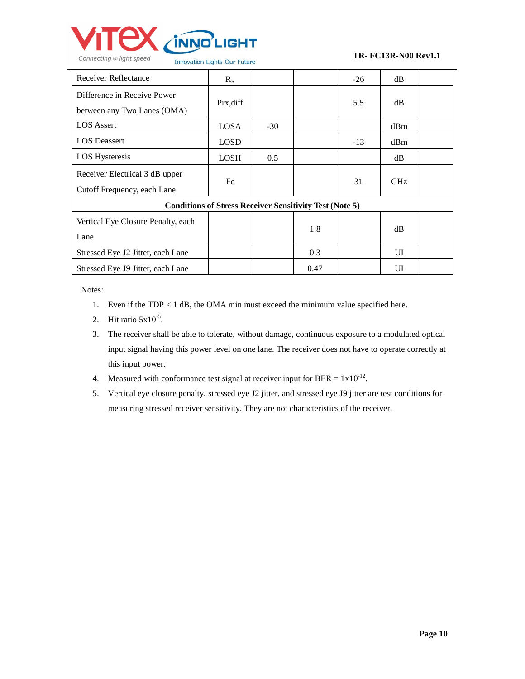

| <b>Receiver Reflectance</b>        | $R_R$                                                          |       |      | $-26$ | dB         |  |
|------------------------------------|----------------------------------------------------------------|-------|------|-------|------------|--|
| Difference in Receive Power        |                                                                |       |      |       |            |  |
| between any Two Lanes (OMA)        | Prx, diff                                                      |       |      | 5.5   | dB         |  |
| <b>LOS</b> Assert                  | <b>LOSA</b>                                                    | $-30$ |      |       | dBm        |  |
| <b>LOS</b> Deassert                | <b>LOSD</b>                                                    |       |      | $-13$ | dBm        |  |
| <b>LOS Hysteresis</b>              | <b>LOSH</b>                                                    | 0.5   |      |       | dB         |  |
| Receiver Electrical 3 dB upper     |                                                                |       |      |       |            |  |
| Cutoff Frequency, each Lane        | Fc                                                             |       |      | 31    | <b>GHz</b> |  |
|                                    | <b>Conditions of Stress Receiver Sensitivity Test (Note 5)</b> |       |      |       |            |  |
| Vertical Eye Closure Penalty, each |                                                                |       |      |       |            |  |
| Lane                               |                                                                |       | 1.8  |       | dB         |  |
| Stressed Eye J2 Jitter, each Lane  |                                                                |       | 0.3  |       | UI         |  |
| Stressed Eye J9 Jitter, each Lane  |                                                                |       | 0.47 |       | UI         |  |

Notes:

- 1. Even if the TDP < 1 dB, the OMA min must exceed the minimum value specified here.
- 2. Hit ratio  $5x10^{-5}$ .
- 3. The receiver shall be able to tolerate, without damage, continuous exposure to a modulated optical input signal having this power level on one lane. The receiver does not have to operate correctly at this input power.
- 4. Measured with conformance test signal at receiver input for BER =  $1x10^{-12}$ .
- 5. Vertical eye closure penalty, stressed eye J2 jitter, and stressed eye J9 jitter are test conditions for measuring stressed receiver sensitivity. They are not characteristics of the receiver.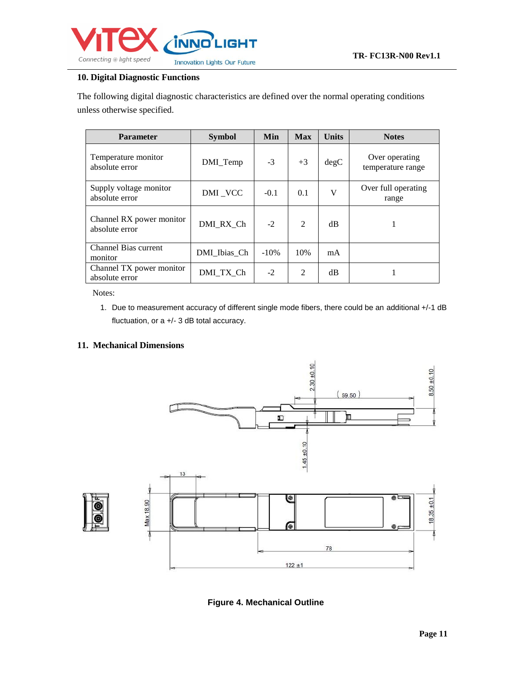

## **10. Digital Diagnostic Functions**

The following digital diagnostic characteristics are defined over the normal operating conditions unless otherwise specified.

| <b>Parameter</b>                           | <b>Symbol</b> | Min     | <b>Max</b> | <b>Units</b> | <b>Notes</b>                        |
|--------------------------------------------|---------------|---------|------------|--------------|-------------------------------------|
| Temperature monitor<br>absolute error      | DMI_Temp      | $-3$    | $+3$       | degC         | Over operating<br>temperature range |
| Supply voltage monitor<br>absolute error   | DMI_VCC       | $-0.1$  | 0.1        | V            | Over full operating<br>range        |
| Channel RX power monitor<br>absolute error | DMI RX Ch     | $-2$    | 2          | dB           |                                     |
| <b>Channel Bias current</b><br>monitor     | DMI Ibias Ch  | $-10\%$ | 10%        | mA           |                                     |
| Channel TX power monitor<br>absolute error | DMI TX Ch     | $-2$    | 2          | dB           |                                     |

Notes:

1. Due to measurement accuracy of different single mode fibers, there could be an additional +/-1 dB fluctuation, or a +/- 3 dB total accuracy.

### **11. Mechanical Dimensions**



 **Figure 4. Mechanical Outline**